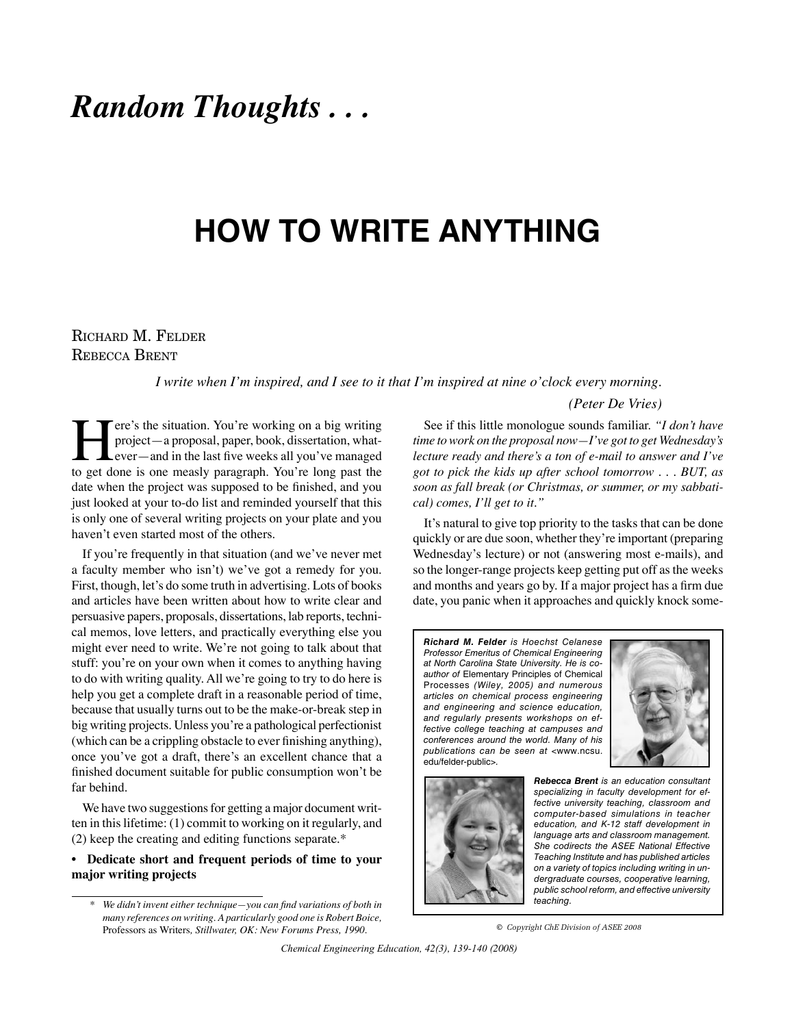## *Random Thoughts . . .*

# **HOW TO WRITE ANYTHING**

### Richard M. Felder Rebecca Brent

*I write when I'm inspired, and I see to it that I'm inspired at nine o'clock every morning.* 

#### *(Peter De Vries)*

Fere's the situation. You're working on a big writing<br>project—a proposal, paper, book, dissertation, what-<br>ever—and in the last five weeks all you've managed<br>to get done is one measly paragraph. You're long past the project—a proposal, paper, book, dissertation, whatever—and in the last five weeks all you've managed to get done is one measly paragraph. You're long past the date when the project was supposed to be finished, and you just looked at your to-do list and reminded yourself that this is only one of several writing projects on your plate and you haven't even started most of the others.

If you're frequently in that situation (and we've never met a faculty member who isn't) we've got a remedy for you. First, though, let's do some truth in advertising. Lots of books and articles have been written about how to write clear and persuasive papers, proposals, dissertations, lab reports, technical memos, love letters, and practically everything else you might ever need to write. We're not going to talk about that stuff: you're on your own when it comes to anything having to do with writing quality. All we're going to try to do here is help you get a complete draft in a reasonable period of time, because that usually turns out to be the make-or-break step in big writing projects. Unless you're a pathological perfectionist (which can be a crippling obstacle to ever finishing anything), once you've got a draft, there's an excellent chance that a finished document suitable for public consumption won't be far behind.

We have two suggestions for getting a major document written in this lifetime: (1) commit to working on it regularly, and (2) keep the creating and editing functions separate.\*

#### **• Dedicate short and frequent periods of time to your major writing projects**

See if this little monologue sounds familiar. *"I don't have time to work on the proposal now—I've got to get Wednesday's lecture ready and there's a ton of e-mail to answer and I've got to pick the kids up after school tomorrow . . . BUT, as soon as fall break (or Christmas, or summer, or my sabbatical) comes, I'll get to it."*

It's natural to give top priority to the tasks that can be done quickly or are due soon, whether they're important (preparing Wednesday's lecture) or not (answering most e-mails), and so the longer-range projects keep getting put off as the weeks and months and years go by. If a major project has a firm due date, you panic when it approaches and quickly knock some-

**Richard M. Felder** is Hoechst Celanese Professor Emeritus of Chemical Engineering at North Carolina State University. He is coauthor of Elementary Principles of Chemical Processes (Wiley, 2005) and numerous articles on chemical process engineering and engineering and science education, and regularly presents workshops on effective college teaching at campuses and conferences around the world. Many of his publications can be seen at <www.ncsu. edu/felder-public>.





**Rebecca Brent** is an education consultant specializing in faculty development for effective university teaching, classroom and computer-based simulations in teacher education, and K-12 staff development in language arts and classroom management. She codirects the ASEE National Effective Teaching Institute and has published articles on a variety of topics including writing in undergraduate courses, cooperative learning, public school reform, and effective university .<br>teaching.

**©** *Copyright ChE Division of ASEE 2008*

 *Chemical Engineering Education, 42(3), 139-140 (2008)*

 *<sup>\*</sup> We didn't invent either technique—you can find variations of both in many references on writing. A particularly good one is Robert Boice,*  Professors as Writers*, Stillwater, OK: New Forums Press, 1990.*